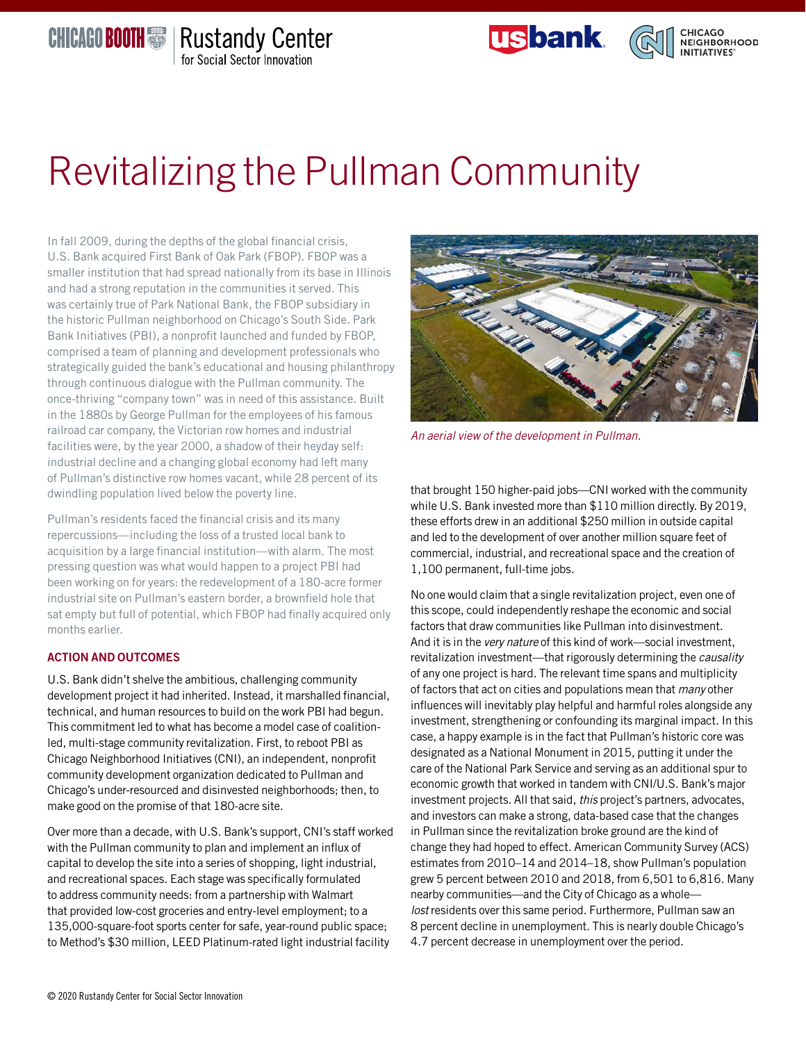# Revitalizing the Pullman Community

In fall 2009, during the depths of the global financial crisis, U.S. Bank acquired First Bank of Oak Park (FBOP). FBOP was a smaller institution that had spread nationally from its base in Illinois and had a strong reputation in the communities it served. This was certainly true of Park National Bank, the FBOP subsidiary in the historic Pullman neighborhood on Chicago's South Side. Park Bank Initiatives (PBI), a nonprofit launched and funded by FBOP, comprised a team of planning and development professionals who strategically guided the bank's educational and housing philanthropy through continuous dialogue with the Pullman community. The once-thriving "company town" was in need of this assistance. Built in the 1880s by George Pullman for the employees of his famous railroad car company, the Victorian row homes and industrial facilities were, by the year 2000, a shadow of their heyday self: industrial decline and a changing global economy had left many of Pullman's distinctive row homes vacant, while 28 percent of its dwindling population lived below the poverty line.

Pullman's residents faced the financial crisis and its many repercussions—including the loss of a trusted local bank to acquisition by a large financial institution—with alarm. The most pressing question was what would happen to a project PBI had been working on for years: the redevelopment of a 180-acre former industrial site on Pullman's eastern border, a brownfield hole that sat empty but full of potential, which FBOP had finally acquired only months earlier.

#### ACTION AND OUTCOMES

U.S. Bank didn't shelve the ambitious, challenging community development project it had inherited. Instead, it marshalled financial, technical, and human resources to build on the work PBI had begun. This commitment led to what has become a model case of coalitionled, multi-stage community revitalization. First, to reboot PBI as Chicago Neighborhood Initiatives (CNI), an independent, nonprofit community development organization dedicated to Pullman and Chicago's under-resourced and disinvested neighborhoods; then, to make good on the promise of that 180-acre site.

Over more than a decade, with U.S. Bank's support, CNI's staff worked with the Pullman community to plan and implement an influx of capital to develop the site into a series of shopping, light industrial, and recreational spaces. Each stage was specifically formulated to address community needs: from a partnership with Walmart that provided low-cost groceries and entry-level employment; to a 135,000-square-foot sports center for safe, year-round public space; to Method's \$30 million, LEED Platinum-rated light industrial facility

that brought 150 higher-paid jobs—CNI worked with the community while U.S. Bank invested more than \$110 million directly. By 2019, these efforts drew in an additional \$250 million in outside capital and led to the development of over another million square feet of commercial, industrial, and recreational space and the creation of 1,100 permanent, full-time jobs.

*An aerial view of the development in Pullman.*

No one would claim that a single revitalization project, even one of this scope, could independently reshape the economic and social factors that draw communities like Pullman into disinvestment. And it is in the *very nature* of this kind of work—social investment, revitalization investment—that rigorously determining the *causality* of any one project is hard. The relevant time spans and multiplicity of factors that act on cities and populations mean that *many* other influences will inevitably play helpful and harmful roles alongside any investment, strengthening or confounding its marginal impact. In this case, a happy example is in the fact that Pullman's historic core was designated as a National Monument in 2015, putting it under the care of the National Park Service and serving as an additional spur to economic growth that worked in tandem with CNI/U.S. Bank's major investment projects. All that said, *this* project's partners, advocates, and investors can make a strong, data-based case that the changes in Pullman since the revitalization broke ground are the kind of change they had hoped to effect. American Community Survey (ACS) estimates from 2010–14 and 2014–18, show Pullman's population grew 5 percent between 2010 and 2018, from 6,501 to 6,816. Many nearby communities—and the City of Chicago as a whole *lost* residents over this same period. Furthermore, Pullman saw an 8 percent decline in unemployment. This is nearly double Chicago's 4.7 percent decrease in unemployment over the period.